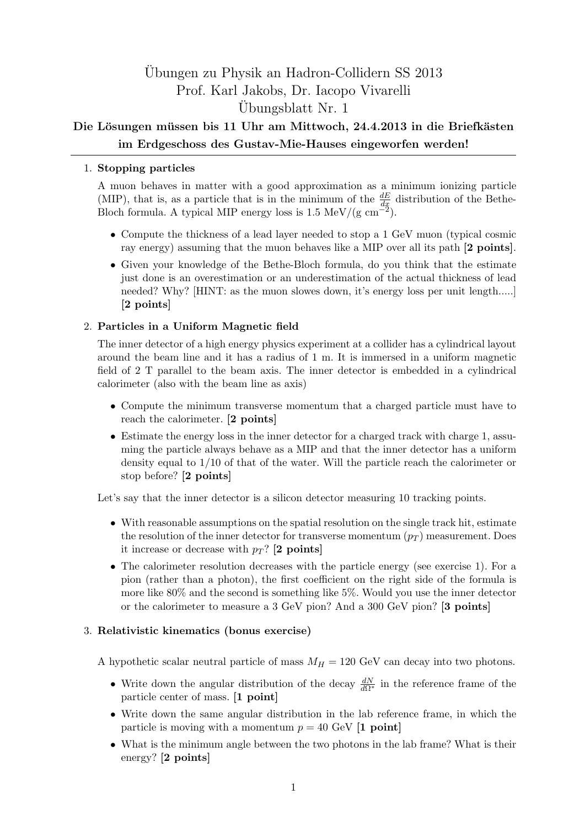# Ubungen zu Physik an Hadron-Collidern SS 2013 ¨ Prof. Karl Jakobs, Dr. Iacopo Vivarelli Ubungsblatt Nr. 1 ¨

## Die Lösungen müssen bis 11 Uhr am Mittwoch, 24.4.2013 in die Briefkästen **im Erdgeschoss des Gustav-Mie-Hauses eingeworfen werden!**

### 1. **Stopping particles**

A muon behaves in matter with a good approximation as a minimum ionizing particle (MIP), that is, as a particle that is in the minimum of the  $\frac{dE}{dx}$  distribution of the Bethe-Bloch formula. A typical MIP energy loss is 1.5 MeV/(g cm*−*<sup>2</sup> ).

- Compute the thickness of a lead layer needed to stop a 1 GeV muon (typical cosmic ray energy) assuming that the muon behaves like a MIP over all its path **[2 points]**.
- *•* Given your knowledge of the Bethe-Bloch formula, do you think that the estimate just done is an overestimation or an underestimation of the actual thickness of lead needed? Why? [HINT: as the muon slowes down, it's energy loss per unit length.....] **[2 points]**

### 2. **Particles in a Uniform Magnetic field**

The inner detector of a high energy physics experiment at a collider has a cylindrical layout around the beam line and it has a radius of 1 m. It is immersed in a uniform magnetic field of 2 T parallel to the beam axis. The inner detector is embedded in a cylindrical calorimeter (also with the beam line as axis)

- *•* Compute the minimum transverse momentum that a charged particle must have to reach the calorimeter. **[2 points]**
- Estimate the energy loss in the inner detector for a charged track with charge 1, assuming the particle always behave as a MIP and that the inner detector has a uniform density equal to 1/10 of that of the water. Will the particle reach the calorimeter or stop before? **[2 points]**

Let's say that the inner detector is a silicon detector measuring 10 tracking points.

- With reasonable assumptions on the spatial resolution on the single track hit, estimate the resolution of the inner detector for transverse momentum  $(p_T)$  measurement. Does it increase or decrease with  $p_T$ ? **[2 points]**
- The calorimeter resolution decreases with the particle energy (see exercise 1). For a pion (rather than a photon), the first coefficient on the right side of the formula is more like 80% and the second is something like 5%. Would you use the inner detector or the calorimeter to measure a 3 GeV pion? And a 300 GeV pion? **[3 points]**

#### 3. **Relativistic kinematics (bonus exercise)**

A hypothetic scalar neutral particle of mass  $M_H = 120$  GeV can decay into two photons.

- *•* Write down the angular distribution of the decay  $\frac{dN}{dΩ<sup>∗</sup>}$  in the reference frame of the particle center of mass. **[1 point]**
- *•* Write down the same angular distribution in the lab reference frame, in which the particle is moving with a momentum  $p = 40$  GeV  $[1 \text{ point}]$
- What is the minimum angle between the two photons in the lab frame? What is their energy? **[2 points]**